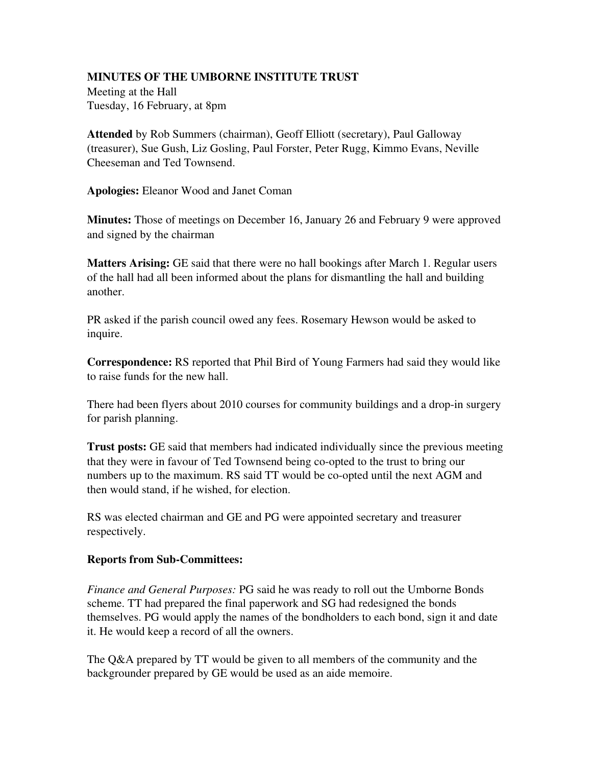## MINUTES OF THE UMBORNE INSTITUTE TRUST

Meeting at the Hall Tuesday, 16 February, at 8pm

Attended by Rob Summers (chairman), Geoff Elliott (secretary), Paul Galloway (treasurer), Sue Gush, Liz Gosling, Paul Forster, Peter Rugg, Kimmo Evans, Neville Cheeseman and Ted Townsend.

Apologies: Eleanor Wood and Janet Coman

Minutes: Those of meetings on December 16, January 26 and February 9 were approved and signed by the chairman

**Matters Arising:** GE said that there were no hall bookings after March 1. Regular users of the hall had all been informed about the plans for dismantling the hall and building another.

PR asked if the parish council owed any fees. Rosemary Hewson would be asked to inquire.

Correspondence: RS reported that Phil Bird of Young Farmers had said they would like to raise funds for the new hall.

There had been flyers about 2010 courses for community buildings and a drop-in surgery for parish planning.

Trust posts: GE said that members had indicated individually since the previous meeting that they were in favour of Ted Townsend being co-opted to the trust to bring our numbers up to the maximum. RS said TT would be co-opted until the next AGM and then would stand, if he wished, for election.

RS was elected chairman and GE and PG were appointed secretary and treasurer respectively.

## Reports from Sub-Committees:

*Finance and General Purposes:* PG said he was ready to roll out the Umborne Bonds scheme. TT had prepared the final paperwork and SG had redesigned the bonds themselves. PG would apply the names of the bondholders to each bond, sign it and date it. He would keep a record of all the owners.

The Q&A prepared by TT would be given to all members of the community and the backgrounder prepared by GE would be used as an aide memoire.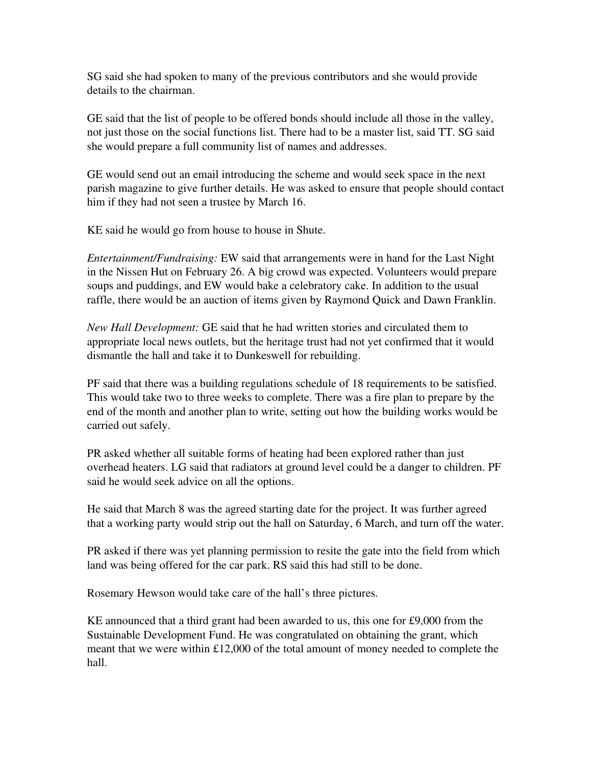SG said she had spoken to many of the previous contributors and she would provide details to the chairman.

GE said that the list of people to be offered bonds should include all those in the valley, not just those on the social functions list. There had to be a master list, said TT. SG said she would prepare a full community list of names and addresses.

GE would send out an email introducing the scheme and would seek space in the next parish magazine to give further details. He was asked to ensure that people should contact him if they had not seen a trustee by March 16.

KE said he would go from house to house in Shute.

*Entertainment/Fundraising:* EW said that arrangements were in hand for the Last Night in the Nissen Hut on February 26. A big crowd was expected. Volunteers would prepare soups and puddings, and EW would bake a celebratory cake. In addition to the usual raffle, there would be an auction of items given by Raymond Quick and Dawn Franklin.

*New Hall Development:* GE said that he had written stories and circulated them to appropriate local news outlets, but the heritage trust had not yet confirmed that it would dismantle the hall and take it to Dunkeswell for rebuilding.

PF said that there was a building regulations schedule of 18 requirements to be satisfied. This would take two to three weeks to complete. There was a fire plan to prepare by the end of the month and another plan to write, setting out how the building works would be carried out safely.

PR asked whether all suitable forms of heating had been explored rather than just overhead heaters. LG said that radiators at ground level could be a danger to children. PF said he would seek advice on all the options.

He said that March 8 was the agreed starting date for the project. It was further agreed that a working party would strip out the hall on Saturday, 6 March, and turn off the water.

PR asked if there was yet planning permission to resite the gate into the field from which land was being offered for the car park. RS said this had still to be done.

Rosemary Hewson would take care of the hall's three pictures.

KE announced that a third grant had been awarded to us, this one for £9,000 from the Sustainable Development Fund. He was congratulated on obtaining the grant, which meant that we were within £12,000 of the total amount of money needed to complete the hall.